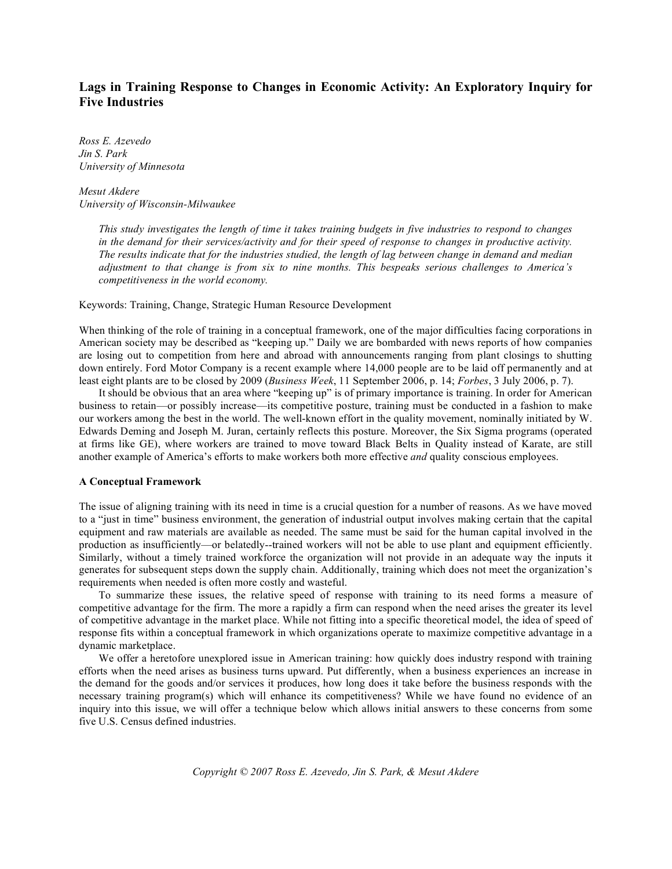# **Lags in Training Response to Changes in Economic Activity: An Exploratory Inquiry for Five Industries**

*Ross E. Azevedo Jin S. Park University of Minnesota*

*Mesut Akdere University of Wisconsin-Milwaukee*

> This study investigates the length of time it takes training budgets in five industries to respond to changes in the demand for their services/activity and for their speed of response to changes in productive activity. The results indicate that for the industries studied, the length of lag between change in demand and median *adjustment to that change is from six to nine months. This bespeaks serious challenges to America's competitiveness in the world economy.*

Keywords: Training, Change, Strategic Human Resource Development

When thinking of the role of training in a conceptual framework, one of the major difficulties facing corporations in American society may be described as "keeping up." Daily we are bombarded with news reports of how companies are losing out to competition from here and abroad with announcements ranging from plant closings to shutting down entirely. Ford Motor Company is a recent example where 14,000 people are to be laid off permanently and at least eight plants are to be closed by 2009 (*Business Week*, 11 September 2006, p. 14; *Forbes*, 3 July 2006, p. 7).

It should be obvious that an area where "keeping up" is of primary importance is training. In order for American business to retain—or possibly increase—its competitive posture, training must be conducted in a fashion to make our workers among the best in the world. The well-known effort in the quality movement, nominally initiated by W. Edwards Deming and Joseph M. Juran, certainly reflects this posture. Moreover, the Six Sigma programs (operated at firms like GE), where workers are trained to move toward Black Belts in Quality instead of Karate, are still another example of America's efforts to make workers both more effective *and* quality conscious employees.

## **A Conceptual Framework**

The issue of aligning training with its need in time is a crucial question for a number of reasons. As we have moved to a "just in time" business environment, the generation of industrial output involves making certain that the capital equipment and raw materials are available as needed. The same must be said for the human capital involved in the production as insufficiently—or belatedly--trained workers will not be able to use plant and equipment efficiently. Similarly, without a timely trained workforce the organization will not provide in an adequate way the inputs it generates for subsequent steps down the supply chain. Additionally, training which does not meet the organization's requirements when needed is often more costly and wasteful.

To summarize these issues, the relative speed of response with training to its need forms a measure of competitive advantage for the firm. The more a rapidly a firm can respond when the need arises the greater its level of competitive advantage in the market place. While not fitting into a specific theoretical model, the idea of speed of response fits within a conceptual framework in which organizations operate to maximize competitive advantage in a dynamic marketplace.

We offer a heretofore unexplored issue in American training: how quickly does industry respond with training efforts when the need arises as business turns upward. Put differently, when a business experiences an increase in the demand for the goods and/or services it produces, how long does it take before the business responds with the necessary training program(s) which will enhance its competitiveness? While we have found no evidence of an inquiry into this issue, we will offer a technique below which allows initial answers to these concerns from some five U.S. Census defined industries.

*Copyright © 2007 Ross E. Azevedo, Jin S. Park, & Mesut Akdere*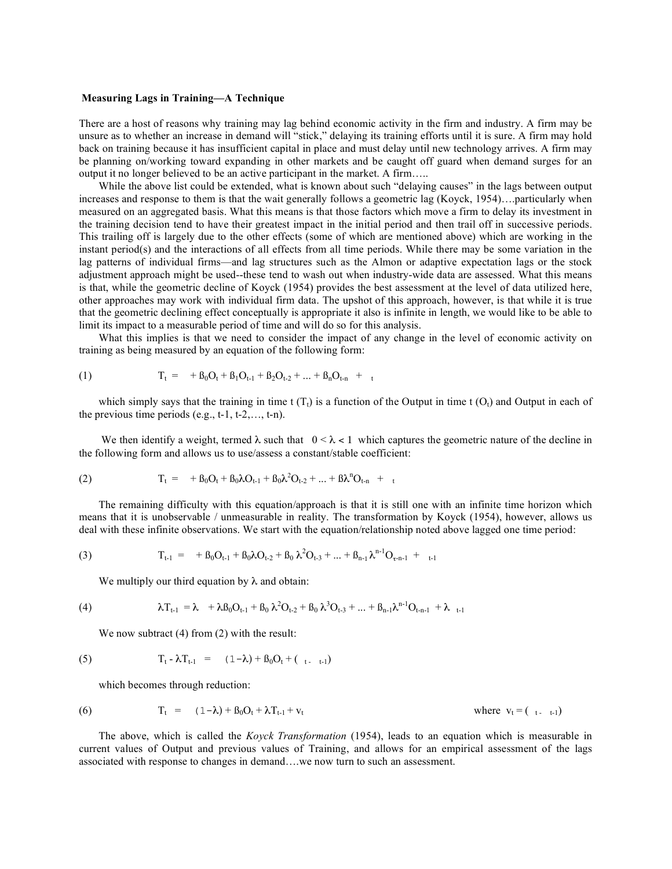## **Measuring Lags in Training—A Technique**

There are a host of reasons why training may lag behind economic activity in the firm and industry. A firm may be unsure as to whether an increase in demand will "stick," delaying its training efforts until it is sure. A firm may hold back on training because it has insufficient capital in place and must delay until new technology arrives. A firm may be planning on/working toward expanding in other markets and be caught off guard when demand surges for an output it no longer believed to be an active participant in the market. A firm…..

While the above list could be extended, what is known about such "delaying causes" in the lags between output increases and response to them is that the wait generally follows a geometric lag (Koyck, 1954)….particularly when measured on an aggregated basis. What this means is that those factors which move a firm to delay its investment in the training decision tend to have their greatest impact in the initial period and then trail off in successive periods. This trailing off is largely due to the other effects (some of which are mentioned above) which are working in the instant period(s) and the interactions of all effects from all time periods. While there may be some variation in the lag patterns of individual firms—and lag structures such as the Almon or adaptive expectation lags or the stock adjustment approach might be used--these tend to wash out when industry-wide data are assessed. What this means is that, while the geometric decline of Koyck (1954) provides the best assessment at the level of data utilized here, other approaches may work with individual firm data. The upshot of this approach, however, is that while it is true that the geometric declining effect conceptually is appropriate it also is infinite in length, we would like to be able to limit its impact to a measurable period of time and will do so for this analysis.

What this implies is that we need to consider the impact of any change in the level of economic activity on training as being measured by an equation of the following form:

(1) 
$$
T_t = +\beta_0 O_t + \beta_1 O_{t-1} + \beta_2 O_{t-2} + ... + \beta_n O_{t-n} + t
$$

which simply says that the training in time t  $(T_t)$  is a function of the Output in time t  $(O_t)$  and Output in each of the previous time periods  $(e.g., t-1, t-2, \ldots, t-n)$ .

We then identify a weight, termed  $\lambda$  such that  $0 < \lambda < 1$  which captures the geometric nature of the decline in the following form and allows us to use/assess a constant/stable coefficient:

(2) 
$$
T_t = +\beta_0 O_t + \beta_0 \lambda O_{t-1} + \beta_0 \lambda^2 O_{t-2} + ... + \beta \lambda^n O_{t-n} +
$$

The remaining difficulty with this equation/approach is that it is still one with an infinite time horizon which means that it is unobservable / unmeasurable in reality. The transformation by Koyck (1954), however, allows us deal with these infinite observations. We start with the equation/relationship noted above lagged one time period:

(3) 
$$
T_{t-1} = + \beta_0 O_{t-1} + \beta_0 \lambda O_{t-2} + \beta_0 \lambda^2 O_{t-3} + ... + \beta_{n-1} \lambda^{n-1} O_{\tau-n-1} + ...
$$

We multiply our third equation by  $\lambda$  and obtain:

(4) 
$$
\lambda T_{t-1} = \lambda + \lambda \beta_0 O_{t-1} + \beta_0 \lambda^2 O_{t-2} + \beta_0 \lambda^3 O_{t-3} + ... + \beta_{n-1} \lambda^{n-1} O_{t-n-1} + \lambda_{t-1}
$$

We now subtract (4) from (2) with the result:

(5) 
$$
T_t - \lambda T_{t-1} = (1-\lambda) + \beta_0 O_t + (t_{t-1})
$$

which becomes through reduction:

(6) 
$$
T_t = (1 - \lambda) + \beta_0 O_t + \lambda T_{t-1} + v_t
$$
 where  $v_t = (t_0, t_0)$ 

The above, which is called the *Koyck Transformation* (1954), leads to an equation which is measurable in current values of Output and previous values of Training, and allows for an empirical assessment of the lags associated with response to changes in demand….we now turn to such an assessment.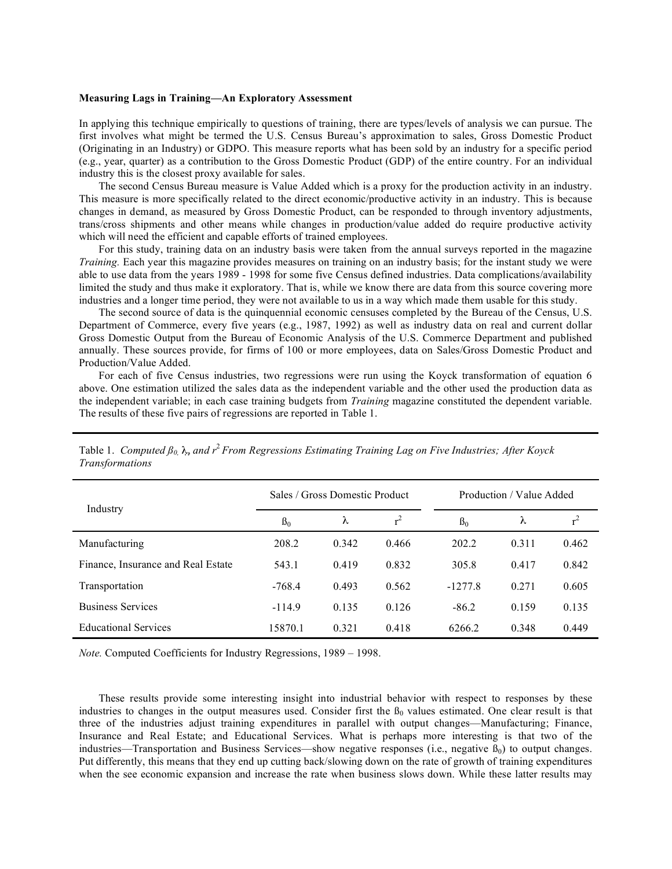#### **Measuring Lags in Training—An Exploratory Assessment**

In applying this technique empirically to questions of training, there are types/levels of analysis we can pursue. The first involves what might be termed the U.S. Census Bureau's approximation to sales, Gross Domestic Product (Originating in an Industry) or GDPO. This measure reports what has been sold by an industry for a specific period (e.g., year, quarter) as a contribution to the Gross Domestic Product (GDP) of the entire country. For an individual industry this is the closest proxy available for sales.

The second Census Bureau measure is Value Added which is a proxy for the production activity in an industry. This measure is more specifically related to the direct economic/productive activity in an industry. This is because changes in demand, as measured by Gross Domestic Product, can be responded to through inventory adjustments, trans/cross shipments and other means while changes in production/value added do require productive activity which will need the efficient and capable efforts of trained employees.

For this study, training data on an industry basis were taken from the annual surveys reported in the magazine *Training.* Each year this magazine provides measures on training on an industry basis; for the instant study we were able to use data from the years 1989 - 1998 for some five Census defined industries. Data complications/availability limited the study and thus make it exploratory. That is, while we know there are data from this source covering more industries and a longer time period, they were not available to us in a way which made them usable for this study.

The second source of data is the quinquennial economic censuses completed by the Bureau of the Census, U.S. Department of Commerce, every five years (e.g., 1987, 1992) as well as industry data on real and current dollar Gross Domestic Output from the Bureau of Economic Analysis of the U.S. Commerce Department and published annually. These sources provide, for firms of 100 or more employees, data on Sales/Gross Domestic Product and Production/Value Added.

For each of five Census industries, two regressions were run using the Koyck transformation of equation 6 above. One estimation utilized the sales data as the independent variable and the other used the production data as the independent variable; in each case training budgets from *Training* magazine constituted the dependent variable. The results of these five pairs of regressions are reported in Table 1.

| Industry                           | Sales / Gross Domestic Product |       |       | Production / Value Added |       |       |
|------------------------------------|--------------------------------|-------|-------|--------------------------|-------|-------|
|                                    | B <sub>0</sub>                 | λ     |       | B <sub>0</sub>           | λ     |       |
| Manufacturing                      | 208.2                          | 0.342 | 0.466 | 202.2                    | 0.311 | 0.462 |
| Finance, Insurance and Real Estate | 543.1                          | 0.419 | 0.832 | 305.8                    | 0.417 | 0.842 |
| Transportation                     | $-768.4$                       | 0.493 | 0.562 | $-1277.8$                | 0.271 | 0.605 |
| <b>Business Services</b>           | $-114.9$                       | 0.135 | 0.126 | $-86.2$                  | 0.159 | 0.135 |
| <b>Educational Services</b>        | 15870.1                        | 0.321 | 0.418 | 6266.2                   | 0.348 | 0.449 |

Table 1. *Computed ß0,* λ, *and r* <sup>2</sup> *From Regressions Estimating Training Lag on Five Industries; After Koyck Transformations*

*Note.* Computed Coefficients for Industry Regressions, 1989 – 1998.

These results provide some interesting insight into industrial behavior with respect to responses by these industries to changes in the output measures used. Consider first the  $\beta_0$  values estimated. One clear result is that three of the industries adjust training expenditures in parallel with output changes—Manufacturing; Finance, Insurance and Real Estate; and Educational Services. What is perhaps more interesting is that two of the industries—Transportation and Business Services—show negative responses (i.e., negative  $B_0$ ) to output changes. Put differently, this means that they end up cutting back/slowing down on the rate of growth of training expenditures when the see economic expansion and increase the rate when business slows down. While these latter results may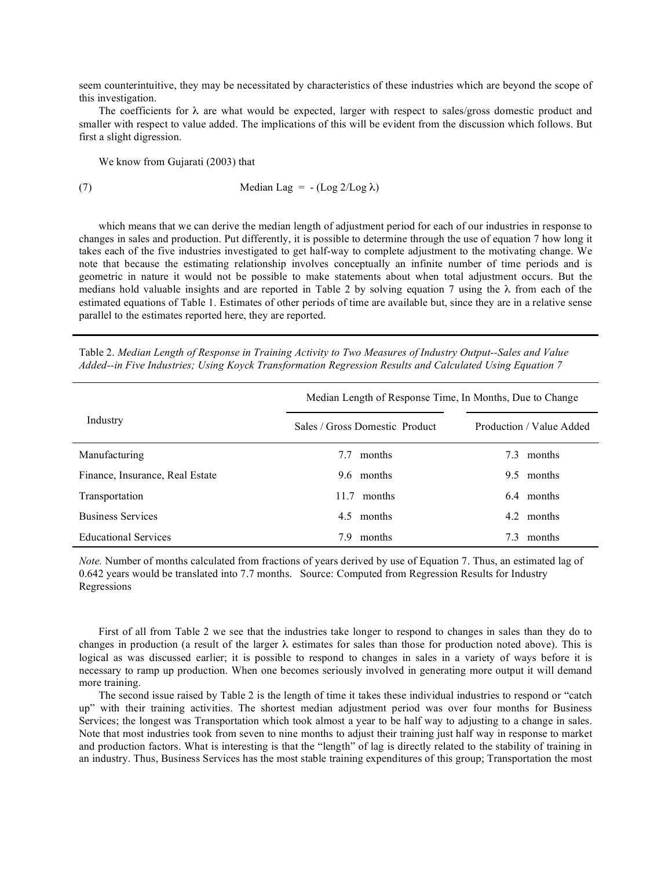seem counterintuitive, they may be necessitated by characteristics of these industries which are beyond the scope of this investigation.

The coefficients for  $\lambda$  are what would be expected, larger with respect to sales/gross domestic product and smaller with respect to value added. The implications of this will be evident from the discussion which follows. But first a slight digression.

We know from Gujarati (2003) that

$$
(7) \t\t Median Lag = -(Log 2/Log \lambda)
$$

which means that we can derive the median length of adjustment period for each of our industries in response to changes in sales and production. Put differently, it is possible to determine through the use of equation 7 how long it takes each of the five industries investigated to get half-way to complete adjustment to the motivating change. We note that because the estimating relationship involves conceptually an infinite number of time periods and is geometric in nature it would not be possible to make statements about when total adjustment occurs. But the medians hold valuable insights and are reported in Table 2 by solving equation 7 using the λ from each of the estimated equations of Table 1. Estimates of other periods of time are available but, since they are in a relative sense parallel to the estimates reported here, they are reported.

| Table 2. Median Length of Response in Training Activity to Two Measures of Industry Output--Sales and Value |  |  |  |
|-------------------------------------------------------------------------------------------------------------|--|--|--|
| Added--in Five Industries; Using Koyck Transformation Regression Results and Calculated Using Equation 7    |  |  |  |

|                                 | Median Length of Response Time, In Months, Due to Change |                          |  |  |  |
|---------------------------------|----------------------------------------------------------|--------------------------|--|--|--|
| Industry                        | Sales / Gross Domestic Product                           | Production / Value Added |  |  |  |
| Manufacturing                   | months<br>7.7                                            | months<br>7.3            |  |  |  |
| Finance, Insurance, Real Estate | 9.6 months                                               | 9.5<br>months            |  |  |  |
| Transportation                  | 11.7<br>months                                           | 64<br>months             |  |  |  |
| <b>Business Services</b>        | 4.5 months                                               | 4.2<br>months            |  |  |  |
| <b>Educational Services</b>     | months<br>79                                             | months<br>7.3            |  |  |  |

*Note.* Number of months calculated from fractions of years derived by use of Equation 7. Thus, an estimated lag of 0.642 years would be translated into 7.7 months. Source: Computed from Regression Results for Industry Regressions

First of all from Table 2 we see that the industries take longer to respond to changes in sales than they do to changes in production (a result of the larger  $\lambda$  estimates for sales than those for production noted above). This is logical as was discussed earlier; it is possible to respond to changes in sales in a variety of ways before it is necessary to ramp up production. When one becomes seriously involved in generating more output it will demand more training.

The second issue raised by Table 2 is the length of time it takes these individual industries to respond or "catch up" with their training activities. The shortest median adjustment period was over four months for Business Services; the longest was Transportation which took almost a year to be half way to adjusting to a change in sales. Note that most industries took from seven to nine months to adjust their training just half way in response to market and production factors. What is interesting is that the "length" of lag is directly related to the stability of training in an industry. Thus, Business Services has the most stable training expenditures of this group; Transportation the most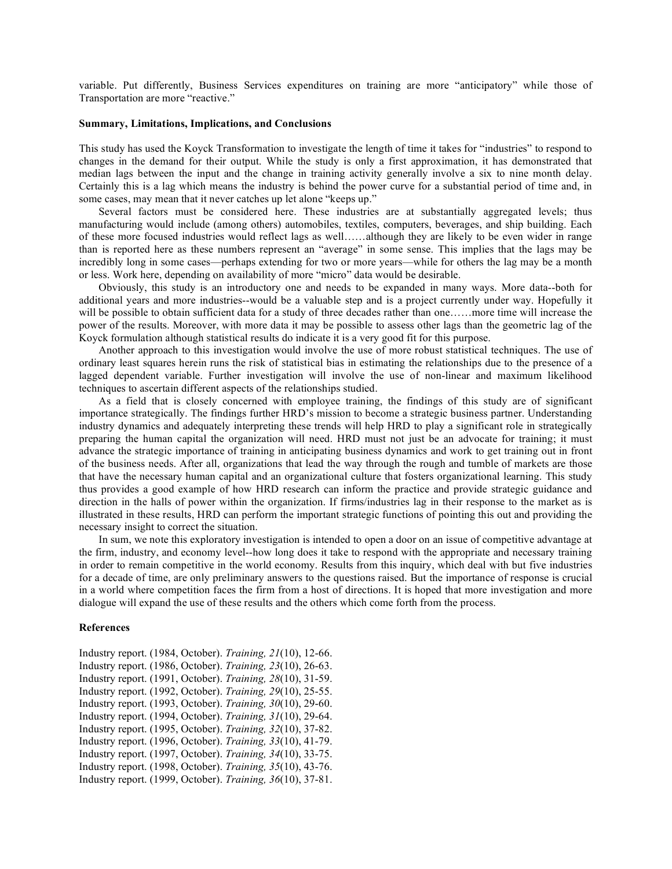variable. Put differently, Business Services expenditures on training are more "anticipatory" while those of Transportation are more "reactive."

# **Summary, Limitations, Implications, and Conclusions**

This study has used the Koyck Transformation to investigate the length of time it takes for "industries" to respond to changes in the demand for their output. While the study is only a first approximation, it has demonstrated that median lags between the input and the change in training activity generally involve a six to nine month delay. Certainly this is a lag which means the industry is behind the power curve for a substantial period of time and, in some cases, may mean that it never catches up let alone "keeps up."

Several factors must be considered here. These industries are at substantially aggregated levels; thus manufacturing would include (among others) automobiles, textiles, computers, beverages, and ship building. Each of these more focused industries would reflect lags as well……although they are likely to be even wider in range than is reported here as these numbers represent an "average" in some sense. This implies that the lags may be incredibly long in some cases—perhaps extending for two or more years—while for others the lag may be a month or less. Work here, depending on availability of more "micro" data would be desirable.

Obviously, this study is an introductory one and needs to be expanded in many ways. More data--both for additional years and more industries--would be a valuable step and is a project currently under way. Hopefully it will be possible to obtain sufficient data for a study of three decades rather than one……more time will increase the power of the results. Moreover, with more data it may be possible to assess other lags than the geometric lag of the Koyck formulation although statistical results do indicate it is a very good fit for this purpose.

Another approach to this investigation would involve the use of more robust statistical techniques. The use of ordinary least squares herein runs the risk of statistical bias in estimating the relationships due to the presence of a lagged dependent variable. Further investigation will involve the use of non-linear and maximum likelihood techniques to ascertain different aspects of the relationships studied.

As a field that is closely concerned with employee training, the findings of this study are of significant importance strategically. The findings further HRD's mission to become a strategic business partner. Understanding industry dynamics and adequately interpreting these trends will help HRD to play a significant role in strategically preparing the human capital the organization will need. HRD must not just be an advocate for training; it must advance the strategic importance of training in anticipating business dynamics and work to get training out in front of the business needs. After all, organizations that lead the way through the rough and tumble of markets are those that have the necessary human capital and an organizational culture that fosters organizational learning. This study thus provides a good example of how HRD research can inform the practice and provide strategic guidance and direction in the halls of power within the organization. If firms/industries lag in their response to the market as is illustrated in these results, HRD can perform the important strategic functions of pointing this out and providing the necessary insight to correct the situation.

In sum, we note this exploratory investigation is intended to open a door on an issue of competitive advantage at the firm, industry, and economy level--how long does it take to respond with the appropriate and necessary training in order to remain competitive in the world economy. Results from this inquiry, which deal with but five industries for a decade of time, are only preliminary answers to the questions raised. But the importance of response is crucial in a world where competition faces the firm from a host of directions. It is hoped that more investigation and more dialogue will expand the use of these results and the others which come forth from the process.

### **References**

Industry report. (1984, October). *Training, 21*(10), 12-66. Industry report. (1986, October). *Training, 23*(10), 26-63. Industry report. (1991, October). *Training, 28*(10), 31-59. Industry report. (1992, October). *Training, 29*(10), 25-55. Industry report. (1993, October). *Training, 30*(10), 29-60. Industry report. (1994, October). *Training, 31*(10), 29-64. Industry report. (1995, October). *Training, 32*(10), 37-82. Industry report. (1996, October). *Training, 33*(10), 41-79. Industry report. (1997, October). *Training, 34*(10), 33-75. Industry report. (1998, October). *Training, 35*(10), 43-76. Industry report. (1999, October). *Training, 36*(10), 37-81.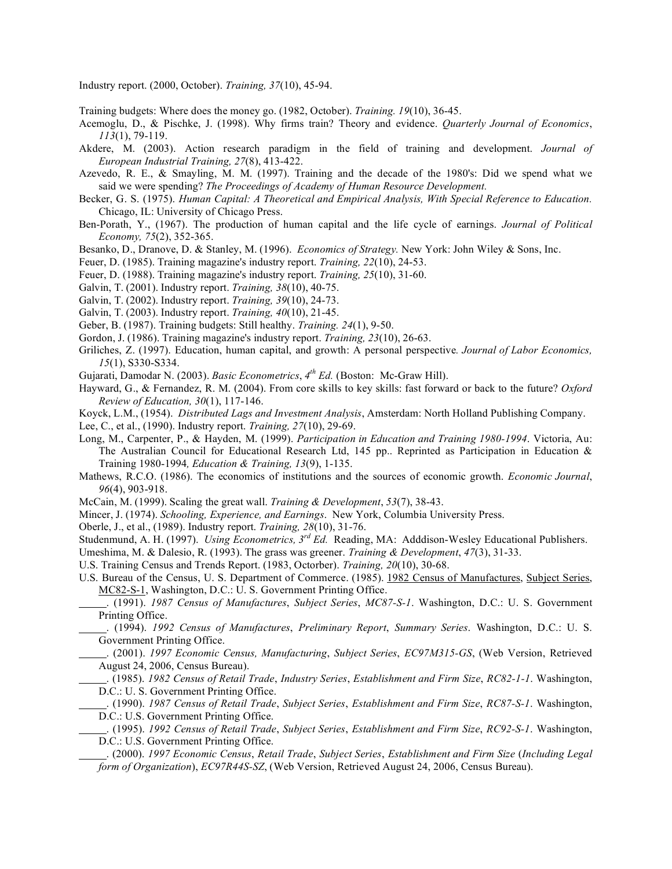Industry report. (2000, October). *Training, 37*(10), 45-94.

Training budgets: Where does the money go. (1982, October). *Training. 19*(10), 36-45.

- Acemoglu, D., & Pischke, J. (1998). Why firms train? Theory and evidence. *Quarterly Journal of Economics*, *113*(1), 79-119.
- Akdere, M. (2003). Action research paradigm in the field of training and development. *Journal of European Industrial Training, 27*(8), 413-422.
- Azevedo, R. E., & Smayling, M. M. (1997). Training and the decade of the 1980's: Did we spend what we said we were spending? *The Proceedings of Academy of Human Resource Development.*
- Becker, G. S. (1975). *Human Capital: A Theoretical and Empirical Analysis, With Special Reference to Education.* Chicago, IL: University of Chicago Press.
- Ben-Porath, Y., (1967). The production of human capital and the life cycle of earnings. *Journal of Political Economy, 75*(2), 352-365.
- Besanko, D., Dranove, D. & Stanley, M. (1996). *Economics of Strategy.* New York: John Wiley & Sons, Inc.
- Feuer, D. (1985). Training magazine's industry report. *Training, 22*(10), 24-53.
- Feuer, D. (1988). Training magazine's industry report. *Training, 25*(10), 31-60.
- Galvin, T. (2001). Industry report. *Training, 38*(10), 40-75.
- Galvin, T. (2002). Industry report. *Training, 39*(10), 24-73.
- Galvin, T. (2003). Industry report. *Training, 40*(10), 21-45.
- Geber, B. (1987). Training budgets: Still healthy. *Training. 24*(1), 9-50.
- Gordon, J. (1986). Training magazine's industry report. *Training, 23*(10), 26-63.
- Griliches, Z. (1997). Education, human capital, and growth: A personal perspective*. Journal of Labor Economics, 15*(1), S330-S334.
- Gujarati, Damodar N. (2003). *Basic Econometrics*, *4th Ed.* (Boston: Mc-Graw Hill).
- Hayward, G., & Fernandez, R. M. (2004). From core skills to key skills: fast forward or back to the future? *Oxford Review of Education, 30*(1), 117-146.
- Koyck, L.M., (1954). *Distributed Lags and Investment Analysis*, Amsterdam: North Holland Publishing Company.
- Lee, C., et al., (1990). Industry report. *Training, 27*(10), 29-69.
- Long, M., Carpenter, P., & Hayden, M. (1999). *Participation in Education and Training 1980-1994*. Victoria, Au: The Australian Council for Educational Research Ltd, 145 pp. Reprinted as Participation in Education  $\&$ Training 1980-1994*, Education & Training, 13*(9), 1-135.
- Mathews, R.C.O. (1986). The economics of institutions and the sources of economic growth. *Economic Journal*, *96*(4), 903-918.
- McCain, M. (1999). Scaling the great wall. *Training & Development*, *53*(7), 38-43.
- Mincer, J. (1974). *Schooling, Experience, and Earnings*. New York, Columbia University Press.
- Oberle, J., et al., (1989). Industry report. *Training, 28*(10), 31-76.
- Studenmund, A. H. (1997). *Using Econometrics, 3rd Ed.* Reading, MA: Adddison-Wesley Educational Publishers.
- Umeshima, M. & Dalesio, R. (1993). The grass was greener. *Training & Development*, *47*(3), 31-33.
- U.S. Training Census and Trends Report. (1983, Octorber). *Training, 20*(10), 30-68.
- U.S. Bureau of the Census, U. S. Department of Commerce. (1985). 1982 Census of Manufactures, Subject Series, MC82-S-1, Washington, D.C.: U. S. Government Printing Office.
- . (1991). *1987 Census of Manufactures*, *Subject Series*, *MC87-S-1*. Washington, D.C.: U. S. Government Printing Office.
- . (1994). *1992 Census of Manufactures*, *Preliminary Report*, *Summary Series*. Washington, D.C.: U. S. Government Printing Office.
- . (2001). *1997 Economic Census, Manufacturing*, *Subject Series*, *EC97M315-GS*, (Web Version, Retrieved August 24, 2006, Census Bureau).
	- . (1985). *1982 Census of Retail Trade*, *Industry Series*, *Establishment and Firm Size*, *RC82-1-1*. Washington, D.C.: U. S. Government Printing Office.
- . (1990). *1987 Census of Retail Trade*, *Subject Series*, *Establishment and Firm Size*, *RC87-S-1*. Washington, D.C.: U.S. Government Printing Office.
- . (1995). *1992 Census of Retail Trade*, *Subject Series*, *Establishment and Firm Size*, *RC92-S-1*. Washington, D.C.: U.S. Government Printing Office.
- . (2000). *1997 Economic Census*, *Retail Trade*, *Subject Series*, *Establishment and Firm Size* (*Including Legal form of Organization*), *EC97R44S-SZ*, (Web Version, Retrieved August 24, 2006, Census Bureau).